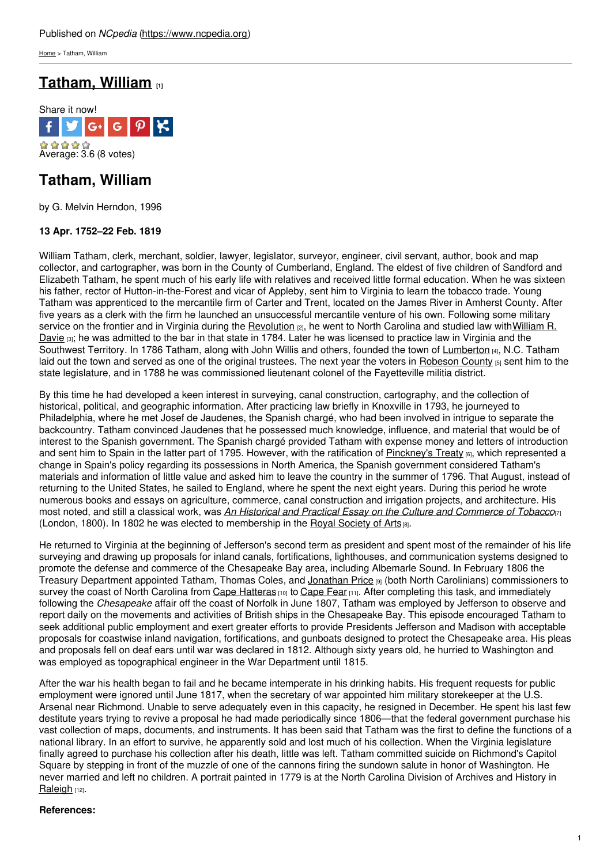[Home](https://www.ncpedia.org/) > Tatham, William

# **[Tatham,](https://www.ncpedia.org/biography/tatham-william) William [1]**



## **Tatham, William**

by G. Melvin Herndon, 1996

### **13 Apr. 1752–22 Feb. 1819**

William Tatham, clerk, merchant, soldier, lawyer, legislator, surveyor, engineer, civil servant, author, book and map collector, and cartographer, was born in the [County](http://www.social9.com) of Cumberland, England. The eldest of five children of Sandford and Elizabeth Tatham, he spent much of his early life with relatives and received little formal education. When he was sixteen his father, rector of Hutton-in-the-Forest and vicar of Appleby, sent him to Virginia to learn the tobacco trade. Young Tatham was apprenticed to the mercantile firm of Carter and Trent, located on the James River in Amherst County. After five years as a clerk with the firm he launched an unsuccessful mercantile venture of his own. Following some military service on the frontier and in Virginia during the [Revolution](http://www.history.com/topics/american-revolution) [2], he went to North Carolina and studied law [withWilliam](https://www.ncpedia.org/davie-william-richardson) R. Davie  $[3]$ ; he was admitted to the bar in that state in 1784. Later he was licensed to practice law in Virginia and the Southwest Territory. In 1786 Tatham, along with John Willis and others, founded the town of [Lumberton](https://ncpedia.org/gazetteer/search/Lumberton) [4], N.C. Tatham laid out the town and served as one of the original trustees. The next year the voters in [Robeson](https://www.ncpedia.org/geography/robeson) County [5] sent him to the state legislature, and in 1788 he was commissioned lieutenant colonel of the Fayetteville militia district.

By this time he had developed a keen interest in surveying, canal construction, cartography, and the collection of historical, political, and geographic information. After practicing law briefly in Knoxville in 1793, he journeyed to Philadelphia, where he met Josef de Jaudenes, the Spanish chargé, who had been involved in intrigue to separate the backcountry. Tatham convinced Jaudenes that he possessed much knowledge, influence, and material that would be of interest to the Spanish government. The Spanish chargé provided Tatham with expense money and letters of introduction and sent him to Spain in the latter part of 1795. However, with the ratification of [Pinckney's](https://history.state.gov/milestones/1784-1800/pickney-treaty) Treaty [6], which represented a change in Spain's policy regarding its possessions in North America, the Spanish government considered Tatham's materials and information of little value and asked him to leave the country in the summer of 1796. That August, instead of returning to the United States, he sailed to England, where he spent the next eight years. During this period he wrote numerous books and essays on agriculture, commerce, canal construction and irrigation projects, and architecture. His most noted, and still a classical work, was *An Historical and Practical Essay on the Culture and [Commerce](https://www.worldcat.org/title/historical-and-practical-essay-on-the-culture-and-commerce-of-tobacco/oclc/65317967) of Tobacco*[7] (London, 1800). In 1802 he was elected to membership in the Royal [Society](http://www.thersa.org/) of Arts[8].

He returned to Virginia at the beginning of Jefferson's second term as president and spent most of the remainder of his life surveying and drawing up proposals for inland canals, fortifications, lighthouses, and communication systems designed to promote the defense and commerce of the Chesapeake Bay area, including Albemarle Sound. In February 1806 the Treasury Department appointed Tatham, Thomas Coles, and [Jonathan](https://www.ncpedia.org/biography/price-jonathan) Price [9] (both North Carolinians) commissioners to survey the coast of North Carolina from Cape [Hatteras](https://ncpedia.org/gazetteer/search/Cape Hatteras) [10] to [Cape](https://ncpedia.org/gazetteer/search/Cape Fear) Fear [11]. After completing this task, and immediately following the *Chesapeake* affair off the coast of Norfolk in June 1807, Tatham was employed by Jefferson to observe and report daily on the movements and activities of British ships in the Chesapeake Bay. This episode encouraged Tatham to seek additional public employment and exert greater efforts to provide Presidents Jefferson and Madison with acceptable proposals for coastwise inland navigation, fortifications, and gunboats designed to protect the Chesapeake area. His pleas and proposals fell on deaf ears until war was declared in 1812. Although sixty years old, he hurried to Washington and was employed as topographical engineer in the War Department until 1815.

After the war his health began to fail and he became intemperate in his drinking habits. His frequent requests for public employment were ignored until June 1817, when the secretary of war appointed him military storekeeper at the U.S. Arsenal near Richmond. Unable to serve adequately even in this capacity, he resigned in December. He spent his last few destitute years trying to revive a proposal he had made periodically since 1806—that the federal government purchase his vast collection of maps, documents, and instruments. It has been said that Tatham was the first to define the functions of a national library. In an effort to survive, he apparently sold and lost much of his collection. When the Virginia legislature finally agreed to purchase his collection after his death, little was left. Tatham committed suicide on Richmond's Capitol Square by stepping in front of the muzzle of one of the cannons firing the sundown salute in honor of Washington. He never married and left no children. A portrait painted in 1779 is at the North Carolina Division of Archives and History in [Raleigh](https://www.ncpedia.org/geography/raleigh) [12].

### **References:**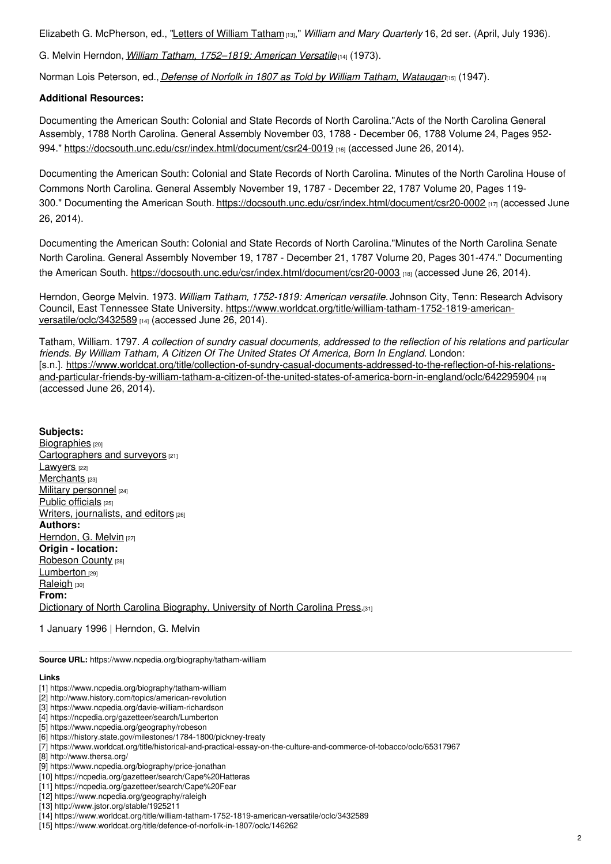Elizabeth G. McPherson, ed., "Letters of [William](http://www.jstor.org/stable/1925211) Tatham[13]," *William and Mary Quarterly* 16, 2d ser. (April, July 1936).

G. Melvin Herndon, *William Tatham, [1752–1819:](https://www.worldcat.org/title/william-tatham-1752-1819-american-versatile/oclc/3432589) American Versatile*[14] (1973).

Norman Lois Peterson, ed., *Defense of Norfolk in 1807 as Told by William Tatham, [Wataugan](https://www.worldcat.org/title/defence-of-norfolk-in-1807/oclc/146262)*[15] (1947).

#### **Additional Resources:**

Documenting the American South: Colonial and State Records of North Carolina."Acts of the North Carolina General Assembly, 1788 North Carolina. General Assembly November 03, 1788 - December 06, 1788 Volume 24, Pages 952 994." <https://docsouth.unc.edu/csr/index.html/document/csr24-0019> [16] (accessed June 26, 2014).

Documenting the American South: Colonial and State Records of North Carolina. "Minutes of the North Carolina House of Commons North Carolina. General Assembly November 19, 1787 - December 22, 1787 Volume 20, Pages 119 300." Documenting the American South. <https://docsouth.unc.edu/csr/index.html/document/csr20-0002> [17] (accessed June 26, 2014).

Documenting the American South: Colonial and State Records of North Carolina."Minutes of the North Carolina Senate North Carolina. General Assembly November 19, 1787 - December 21, 1787 Volume 20, Pages 301-474." Documenting the American South. <https://docsouth.unc.edu/csr/index.html/document/csr20-0003> [18] (accessed June 26, 2014).

Herndon, George Melvin. 1973. *William Tatham, 1752-1819: American versatile.* Johnson City, Tenn: Research Advisory Council, East Tennessee State University. [https://www.worldcat.org/title/william-tatham-1752-1819-american](https://www.worldcat.org/title/william-tatham-1752-1819-american-versatile/oclc/3432589)versatile/oclc/3432589 [14] (accessed June 26, 2014).

Tatham, William. 1797. A collection of sundry casual documents, addressed to the reflection of his relations and particular *friends. By William Tatham, A Citizen Of The United States Of America, Born In England.* London: [s.n.]. [https://www.worldcat.org/title/collection-of-sundry-casual-documents-addressed-to-the-reflection-of-his-relations](https://www.worldcat.org/title/collection-of-sundry-casual-documents-addressed-to-the-reflection-of-his-relations-and-particular-friends-by-william-tatham-a-citizen-of-the-united-states-of-america-born-in-england/oclc/642295904)and-particular-friends-by-william-tatham-a-citizen-of-the-united-states-of-america-born-in-england/oclc/642295904 [19] (accessed June 26, 2014).

#### **Subjects:**

[Biographies](https://www.ncpedia.org/category/subjects/biography-term) [20] [Cartographers](https://www.ncpedia.org/category/subjects/cartographers-surveyors) and surveyors [21] [Lawyers](https://www.ncpedia.org/category/subjects/lawyers) [22] [Merchants](https://www.ncpedia.org/category/subjects/merchants) [23] Military [personnel](https://www.ncpedia.org/category/subjects/soldiers) [24] Public [officials](https://www.ncpedia.org/category/subjects/public-officials) [25] Writers, [journalists,](https://www.ncpedia.org/category/subjects/writer) and editors [26] **Authors:** [Herndon,](https://www.ncpedia.org/category/authors/herndon-g-melvin) G. Melvin [27] **Origin - location:** [Robeson](https://www.ncpedia.org/category/origin-location/coastal--1) County [28] [Lumberton](https://www.ncpedia.org/category/origin-location/coastal-44) [29] [Raleigh](https://www.ncpedia.org/category/origin-location/piedmont-0) [30] **From:** Dictionary of North Carolina [Biography,](https://www.ncpedia.org/category/entry-source/dictionary-no) University of North Carolina Press.[31]

1 January 1996 | Herndon, G. Melvin

**Source URL:** https://www.ncpedia.org/biography/tatham-william

#### **Links**

- [1] https://www.ncpedia.org/biography/tatham-william
- [2] http://www.history.com/topics/american-revolution
- [3] https://www.ncpedia.org/davie-william-richardson
- [4] https://ncpedia.org/gazetteer/search/Lumberton
- [5] https://www.ncpedia.org/geography/robeson
- [6] https://history.state.gov/milestones/1784-1800/pickney-treaty
- [7] https://www.worldcat.org/title/historical-and-practical-essay-on-the-culture-and-commerce-of-tobacco/oclc/65317967
- [8] http://www.thersa.org/
- [9] https://www.ncpedia.org/biography/price-jonathan
- [10] https://ncpedia.org/gazetteer/search/Cape%20Hatteras
- [11] https://ncpedia.org/gazetteer/search/Cape%20Fear
- [12] https://www.ncpedia.org/geography/raleigh
- [13] http://www.jstor.org/stable/1925211
- [14] https://www.worldcat.org/title/william-tatham-1752-1819-american-versatile/oclc/3432589
- [15] https://www.worldcat.org/title/defence-of-norfolk-in-1807/oclc/146262